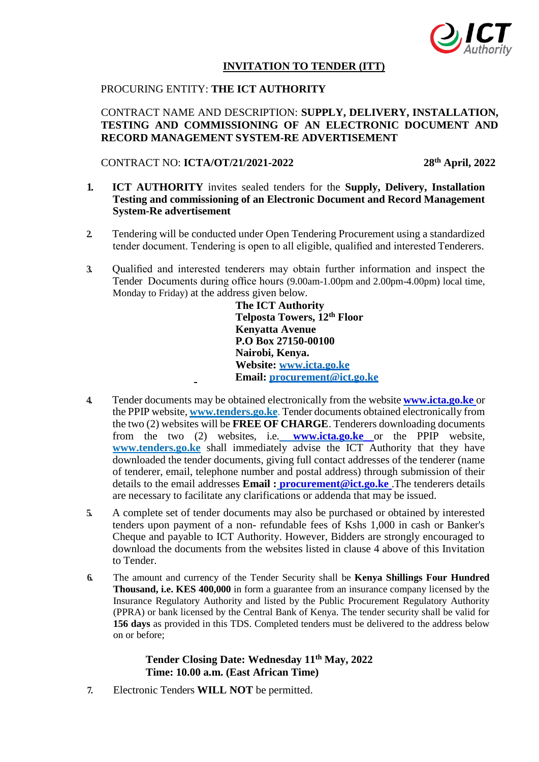

#### **INVITATION TO TENDER (ITT)**

## PROCURING ENTITY: **THE ICT AUTHORITY**

## CONTRACT NAME AND DESCRIPTION: **SUPPLY, DELIVERY, INSTALLATION, TESTING AND COMMISSIONING OF AN ELECTRONIC DOCUMENT AND RECORD MANAGEMENT SYSTEM-RE ADVERTISEMENT**

#### CONTRACT NO: **ICTA/OT/21/2021-2022 28th April, 2022**

- **1. ICT AUTHORITY** invites sealed tenders for the **Supply, Delivery, Installation Testing and commissioning of an Electronic Document and Record Management System-Re advertisement**
- **2.** Tendering will be conducted under Open Tendering Procurement using a standardized tender document. Tendering is open to all eligible, qualified and interested Tenderers.
- **3.** Qualified and interested tenderers may obtain further information and inspect the Tender Documents during office hours (9.00am-1.00pm and 2.00pm-4.00pm) local time, Monday to Friday) at the address given below.

**The ICT Authority Telposta Towers, 12th Floor Kenyatta Avenue P.O Box 27150-00100 Nairobi, Kenya. Website: www.icta.go.ke Email: procurement@ict.go.ke**

- **4.** Tender documents may be obtained electronically from the website **www.icta.go.ke** or the PPIP website, **[www.tenders.go.ke](http://www.tenders.go.ke/)**. Tender documents obtained electronically from the two (2) websites will be **FREE OF CHARGE**. Tenderers downloading documents from the two (2) websites, i.e. **www.icta.go.ke** or the PPIP website[,](http://www.tenders.go.ke/) **[www.tenders.go.ke](http://www.tenders.go.ke/)** shall immediately advise the ICT Authority that they have downloaded the tender documents, giving full contact addresses of the tenderer (name of tenderer, email, telephone number and postal address) through submission of their details to the email addresses **Email : [procurement@ict.go.ke](mailto:%20procurement@ict.go.ke)** .The tenderers details are necessary to facilitate any clarifications or addenda that may be issued.
- **5.** A complete set of tender documents may also be purchased or obtained by interested tenders upon payment of a non- refundable fees of Kshs 1,000 in cash or Banker's Cheque and payable to ICT Authority. However, Bidders are strongly encouraged to download the documents from the websites listed in clause 4 above of this Invitation to Tender.
- **6.** The amount and currency of the Tender Security shall be **Kenya Shillings Four Hundred Thousand, i.e. KES 400,000** in form a guarantee from an insurance company licensed by the Insurance Regulatory Authority and listed by the Public Procurement Regulatory Authority (PPRA) or bank licensed by the Central Bank of Kenya. The tender security shall be valid for **156 days** as provided in this TDS. Completed tenders must be delivered to the address below on or before;

# **Tender Closing Date: Wednesday 11th May, 2022 Time: 10.00 a.m. (East African Time)**

**7.** Electronic Tenders **WILL NOT** be permitted.